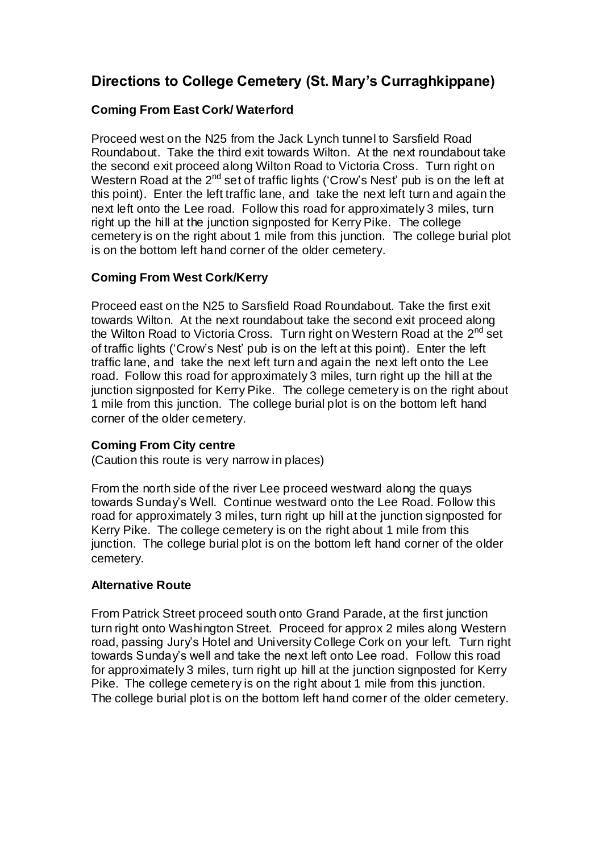# **Directions to College Cemetery (St. Mary's Curraghkippane)**

## **Coming From East Cork/ Waterford**

Proceed west on the N25 from the Jack Lynch tunnel to Sarsfield Road Roundabout. Take the third exit towards Wilton. At the next roundabout take the second exit proceed along Wilton Road to Victoria Cross. Turn right on Western Road at the  $2^{nd}$  set of traffic lights ('Crow's Nest' pub is on the left at this point). Enter the left traffic lane, and take the next left turn and again the next left onto the Lee road. Follow this road for approximately 3 miles, turn right up the hill at the junction signposted for Kerry Pike. The college cemetery is on the right about 1 mile from this junction. The college burial plot is on the bottom left hand corner of the older cemetery.

## **Coming From West Cork/Kerry**

Proceed east on the N25 to Sarsfield Road Roundabout. Take the first exit towards Wilton. At the next roundabout take the second exit proceed along the Wilton Road to Victoria Cross. Turn right on Western Road at the 2<sup>nd</sup> set of traffic lights ('Crow's Nest' pub is on the left at this point). Enter the left traffic lane, and take the next left turn and again the next left onto the Lee road. Follow this road for approximately 3 miles, turn right up the hill at the junction signposted for Kerry Pike. The college cemetery is on the right about 1 mile from this junction. The college burial plot is on the bottom left hand corner of the older cemetery.

### **Coming From City centre**

(Caution this route is very narrow in places)

From the north side of the river Lee proceed westward along the quays towards Sunday's Well. Continue westward onto the Lee Road. Follow this road for approximately 3 miles, turn right up hill at the junction signposted for Kerry Pike. The college cemetery is on the right about 1 mile from this junction. The college burial plot is on the bottom left hand corner of the older cemetery.

### **Alternative Route**

From Patrick Street proceed south onto Grand Parade, at the first junction turn right onto Washington Street. Proceed for approx 2 miles along Western road, passing Jury's Hotel and University College Cork on your left. Turn right towards Sunday's well and take the next left onto Lee road. Follow this road for approximately 3 miles, turn right up hill at the junction signposted for Kerry Pike. The college cemetery is on the right about 1 mile from this junction. The college burial plot is on the bottom left hand corner of the older cemetery.